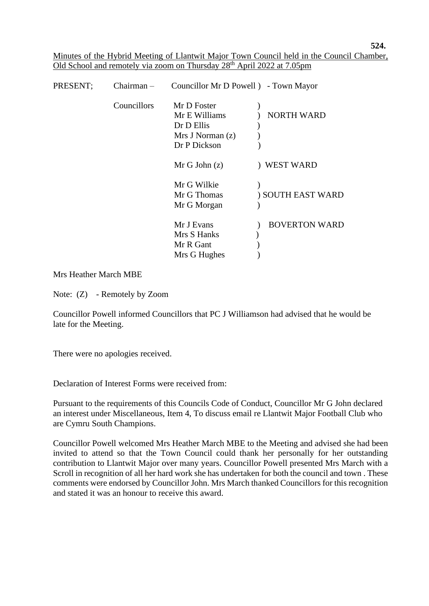**524.**

Minutes of the Hybrid Meeting of Llantwit Major Town Council held in the Council Chamber, Old School and remotely via zoom on Thursday 28<sup>th</sup> April 2022 at 7.05pm

| PRESENT; | $Chairman -$ | Councillor Mr D Powell ) - Town Mayor |                      |
|----------|--------------|---------------------------------------|----------------------|
|          | Councillors  | Mr D Foster                           |                      |
|          |              | Mr E Williams                         | <b>NORTH WARD</b>    |
|          |              | Dr D Ellis                            |                      |
|          |              | Mrs J Norman(z)                       |                      |
|          |              | Dr P Dickson                          |                      |
|          |              | Mr G John (z)                         | WEST WARD            |
|          |              | Mr G Wilkie                           |                      |
|          |              | Mr G Thomas                           | ) SOUTH EAST WARD    |
|          |              | Mr G Morgan                           |                      |
|          |              | Mr J Evans                            | <b>BOVERTON WARD</b> |
|          |              | Mrs S Hanks                           |                      |
|          |              | Mr R Gant                             |                      |
|          |              | Mrs G Hughes                          |                      |

Mrs Heather March MBE

Note: (Z) - Remotely by Zoom

 Councillor Powell informed Councillors that PC J Williamson had advised that he would be late for the Meeting.

There were no apologies received.

Declaration of Interest Forms were received from:

Pursuant to the requirements of this Councils Code of Conduct, Councillor Mr G John declared an interest under Miscellaneous, Item 4, To discuss email re Llantwit Major Football Club who are Cymru South Champions.

 Councillor Powell welcomed Mrs Heather March MBE to the Meeting and advised she had been invited to attend so that the Town Council could thank her personally for her outstanding contribution to Llantwit Major over many years. Councillor Powell presented Mrs March with a Scroll in recognition of all her hard work she has undertaken for both the council and town . These comments were endorsed by Councillor John. Mrs March thanked Councillors for this recognition and stated it was an honour to receive this award.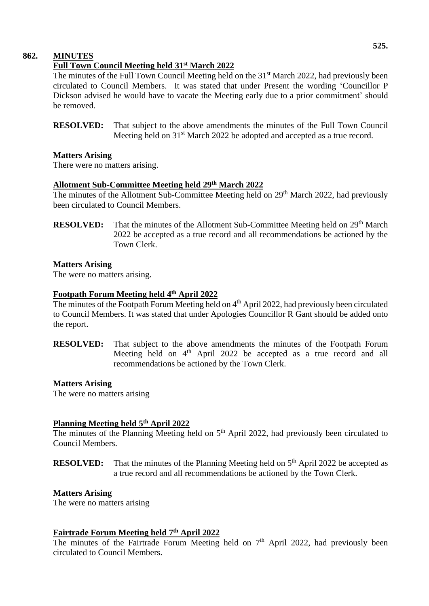# **862. MINUTES**

# **Full Town Council Meeting held 31st March 2022**

The minutes of the Full Town Council Meeting held on the 31<sup>st</sup> March 2022, had previously been circulated to Council Members. It was stated that under Present the wording 'Councillor P Dickson advised he would have to vacate the Meeting early due to a prior commitment' should be removed.

**RESOLVED:** That subject to the above amendments the minutes of the Full Town Council Meeting held on 31<sup>st</sup> March 2022 be adopted and accepted as a true record.

#### **Matters Arising**

There were no matters arising.

# **Allotment Sub-Committee Meeting held 29 th March 2022**

The minutes of the Allotment Sub-Committee Meeting held on 29<sup>th</sup> March 2022, had previously been circulated to Council Members.

**RESOLVED:** That the minutes of the Allotment Sub-Committee Meeting held on 29<sup>th</sup> March 2022 be accepted as a true record and all recommendations be actioned by the Town Clerk.

#### **Matters Arising**

The were no matters arising.

#### **Footpath Forum Meeting held 4 th April 2022**

The minutes of the Footpath Forum Meeting held on 4<sup>th</sup> April 2022, had previously been circulated to Council Members. It was stated that under Apologies Councillor R Gant should be added onto the report.

**RESOLVED:** That subject to the above amendments the minutes of the Footpath Forum Meeting held on 4<sup>th</sup> April 2022 be accepted as a true record and all recommendations be actioned by the Town Clerk.

# **Matters Arising**

The were no matters arising

#### **Planning Meeting held 5 th April 2022**

The minutes of the Planning Meeting held on  $5<sup>th</sup>$  April 2022, had previously been circulated to Council Members.

**RESOLVED:** That the minutes of the Planning Meeting held on 5<sup>th</sup> April 2022 be accepted as a true record and all recommendations be actioned by the Town Clerk.

#### **Matters Arising**

The were no matters arising

#### **Fairtrade Forum Meeting held 7 th April 2022**

The minutes of the Fairtrade Forum Meeting held on  $7<sup>th</sup>$  April 2022, had previously been circulated to Council Members.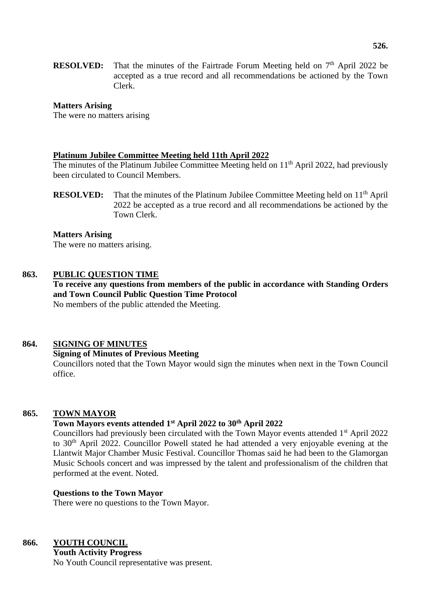**RESOLVED:** That the minutes of the Fairtrade Forum Meeting held on  $7<sup>th</sup>$  April 2022 be accepted as a true record and all recommendations be actioned by the Town Clerk.

#### **Matters Arising**

The were no matters arising

#### **Platinum Jubilee Committee Meeting held 11th April 2022**

The minutes of the Platinum Jubilee Committee Meeting held on 11<sup>th</sup> April 2022, had previously been circulated to Council Members.

**RESOLVED:** That the minutes of the Platinum Jubilee Committee Meeting held on 11<sup>th</sup> April 2022 be accepted as a true record and all recommendations be actioned by the Town Clerk.

#### **Matters Arising**

The were no matters arising.

#### **863. PUBLIC QUESTION TIME**

**To receive any questions from members of the public in accordance with Standing Orders and Town Council Public Question Time Protocol** No members of the public attended the Meeting.

#### **864. SIGNING OF MINUTES**

# **Signing of Minutes of Previous Meeting**

Councillors noted that the Town Mayor would sign the minutes when next in the Town Council office.

#### **865. TOWN MAYOR**

#### **Town Mayors events attended 1st April 2022 to 30th April 2022**

Councillors had previously been circulated with the Town Mayor events attended 1<sup>st</sup> April 2022 to 30 th April 2022. Councillor Powell stated he had attended a very enjoyable evening at the Llantwit Major Chamber Music Festival. Councillor Thomas said he had been to the Glamorgan Music Schools concert and was impressed by the talent and professionalism of the children that performed at the event. Noted.

#### **Questions to the Town Mayor**

There were no questions to the Town Mayor.

# **866. YOUTH COUNCIL**

 **Youth Activity Progress** No Youth Council representative was present.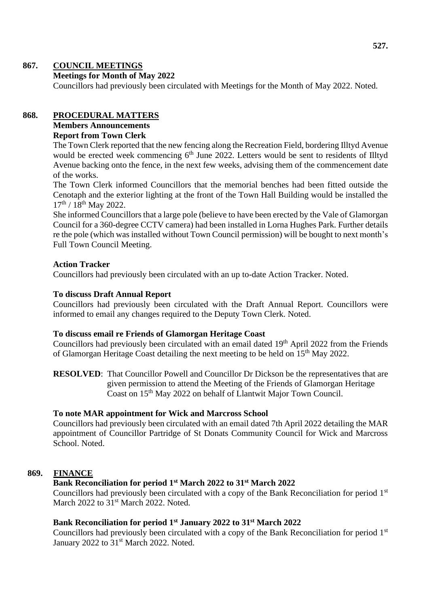# **867. COUNCIL MEETINGS**

### **Meetings for Month of May 2022**

Councillors had previously been circulated with Meetings for the Month of May 2022. Noted.

# **868. PROCEDURAL MATTERS**

# **Members Announcements**

# **Report from Town Clerk**

The Town Clerk reported that the new fencing along the Recreation Field, bordering Illtyd Avenue would be erected week commencing  $6<sup>th</sup>$  June 2022. Letters would be sent to residents of Illtyd Avenue backing onto the fence, in the next few weeks, advising them of the commencement date of the works.

The Town Clerk informed Councillors that the memorial benches had been fitted outside the Cenotaph and the exterior lighting at the front of the Town Hall Building would be installed the  $17^{\text{th}}$  /  $18^{\text{th}}$  May 2022.

She informed Councillors that a large pole (believe to have been erected by the Vale of Glamorgan Council for a 360-degree CCTV camera) had been installed in Lorna Hughes Park. Further details re the pole (which was installed without Town Council permission) will be bought to next month's Full Town Council Meeting.

#### **Action Tracker**

Councillors had previously been circulated with an up to-date Action Tracker. Noted.

#### **To discuss Draft Annual Report**

Councillors had previously been circulated with the Draft Annual Report. Councillors were informed to email any changes required to the Deputy Town Clerk. Noted.

# **To discuss email re Friends of Glamorgan Heritage Coast**

Councillors had previously been circulated with an email dated 19<sup>th</sup> April 2022 from the Friends of Glamorgan Heritage Coast detailing the next meeting to be held on 15<sup>th</sup> May 2022.

**RESOLVED**: That Councillor Powell and Councillor Dr Dickson be the representatives that are given permission to attend the Meeting of the Friends of Glamorgan Heritage Coast on 15<sup>th</sup> May 2022 on behalf of Llantwit Major Town Council.

#### **To note MAR appointment for Wick and Marcross School**

Councillors had previously been circulated with an email dated 7th April 2022 detailing the MAR appointment of Councillor Partridge of St Donats Community Council for Wick and Marcross School. Noted.

# **869. FINANCE**

#### **Bank Reconciliation for period 1st March 2022 to 31st March 2022**

Councillors had previously been circulated with a copy of the Bank Reconciliation for period 1<sup>st</sup> March 2022 to 31<sup>st</sup> March 2022. Noted.

# **Bank Reconciliation for period 1st January 2022 to 31st March 2022**

Councillors had previously been circulated with a copy of the Bank Reconciliation for period 1st January 2022 to 31<sup>st</sup> March 2022. Noted.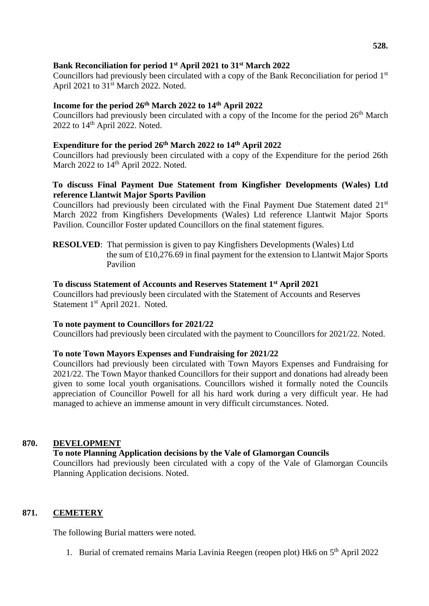# **Bank Reconciliation for period 1st April 2021 to 31st March 2022**

Councillors had previously been circulated with a copy of the Bank Reconciliation for period 1st April 2021 to 31<sup>st</sup> March 2022. Noted.

# **Income for the period 26th March 2022 to 14th April 2022**

Councillors had previously been circulated with a copy of the Income for the period  $26<sup>th</sup>$  March 2022 to  $14<sup>th</sup>$  April 2022. Noted.

#### **Expenditure for the period 26th March 2022 to 14th April 2022**

Councillors had previously been circulated with a copy of the Expenditure for the period 26th March 2022 to  $14<sup>th</sup>$  April 2022. Noted.

# **To discuss Final Payment Due Statement from Kingfisher Developments (Wales) Ltd reference Llantwit Major Sports Pavilion**

Councillors had previously been circulated with the Final Payment Due Statement dated 21<sup>st</sup> March 2022 from Kingfishers Developments (Wales) Ltd reference Llantwit Major Sports Pavilion. Councillor Foster updated Councillors on the final statement figures.

 **RESOLVED**: That permission is given to pay Kingfishers Developments (Wales) Ltd the sum of £10,276.69 in final payment for the extension to Llantwit Major Sports Pavilion

#### **To discuss Statement of Accounts and Reserves Statement 1st April 2021**

Councillors had previously been circulated with the Statement of Accounts and Reserves Statement 1<sup>st</sup> April 2021. Noted.

#### **To note payment to Councillors for 2021/22**

Councillors had previously been circulated with the payment to Councillors for 2021/22. Noted.

# **To note Town Mayors Expenses and Fundraising for 2021/22**

Councillors had previously been circulated with Town Mayors Expenses and Fundraising for 2021/22. The Town Mayor thanked Councillors for their support and donations had already been given to some local youth organisations. Councillors wished it formally noted the Councils appreciation of Councillor Powell for all his hard work during a very difficult year. He had managed to achieve an immense amount in very difficult circumstances. Noted.

# **870. DEVELOPMENT**

# **To note Planning Application decisions by the Vale of Glamorgan Councils**

Councillors had previously been circulated with a copy of the Vale of Glamorgan Councils Planning Application decisions. Noted.

# **871. CEMETERY**

The following Burial matters were noted.

1. Burial of cremated remains Maria Lavinia Reegen (reopen plot) Hk6 on 5<sup>th</sup> April 2022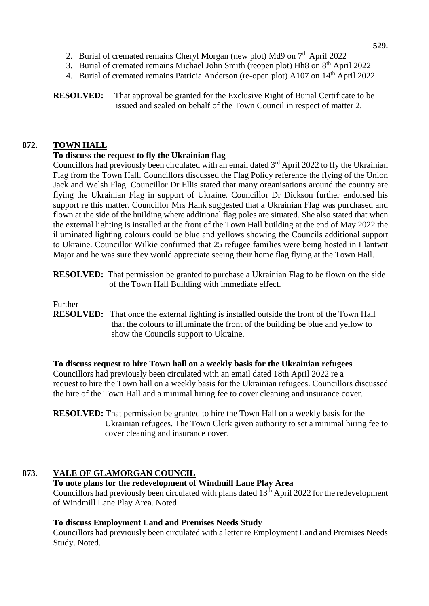- 2. Burial of cremated remains Cheryl Morgan (new plot) Md9 on 7<sup>th</sup> April 2022
- 3. Burial of cremated remains Michael John Smith (reopen plot) Hh8 on 8<sup>th</sup> April 2022
- 4. Burial of cremated remains Patricia Anderson (re-open plot) A107 on 14<sup>th</sup> April 2022

**RESOLVED:** That approval be granted for the Exclusive Right of Burial Certificate to be issued and sealed on behalf of the Town Council in respect of matter 2.

# **872. TOWN HALL**

# **To discuss the request to fly the Ukrainian flag**

Councillors had previously been circulated with an email dated  $3<sup>rd</sup>$  April 2022 to fly the Ukrainian Flag from the Town Hall. Councillors discussed the Flag Policy reference the flying of the Union Jack and Welsh Flag. Councillor Dr Ellis stated that many organisations around the country are flying the Ukrainian Flag in support of Ukraine. Councillor Dr Dickson further endorsed his support re this matter. Councillor Mrs Hank suggested that a Ukrainian Flag was purchased and flown at the side of the building where additional flag poles are situated. She also stated that when the external lighting is installed at the front of the Town Hall building at the end of May 2022 the illuminated lighting colours could be blue and yellows showing the Councils additional support to Ukraine. Councillor Wilkie confirmed that 25 refugee families were being hosted in Llantwit Major and he was sure they would appreciate seeing their home flag flying at the Town Hall.

**RESOLVED:** That permission be granted to purchase a Ukrainian Flag to be flown on the side of the Town Hall Building with immediate effect.

#### Further

**RESOLVED:** That once the external lighting is installed outside the front of the Town Hall that the colours to illuminate the front of the building be blue and yellow to show the Councils support to Ukraine.

**To discuss request to hire Town hall on a weekly basis for the Ukrainian refugees** Councillors had previously been circulated with an email dated 18th April 2022 re a request to hire the Town hall on a weekly basis for the Ukrainian refugees. Councillors discussed the hire of the Town Hall and a minimal hiring fee to cover cleaning and insurance cover.

# **873. VALE OF GLAMORGAN COUNCIL**

# **To note plans for the redevelopment of Windmill Lane Play Area**

Councillors had previously been circulated with plans dated  $13<sup>th</sup>$  April 2022 for the redevelopment of Windmill Lane Play Area. Noted.

# **To discuss Employment Land and Premises Needs Study**

Councillors had previously been circulated with a letter re Employment Land and Premises Needs Study. Noted.

**RESOLVED:** That permission be granted to hire the Town Hall on a weekly basis for the Ukrainian refugees. The Town Clerk given authority to set a minimal hiring fee to cover cleaning and insurance cover.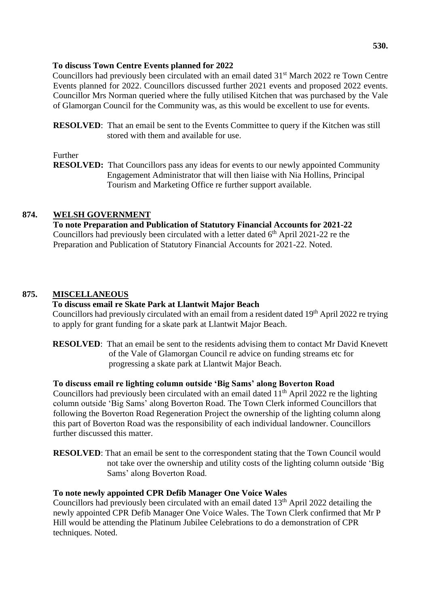#### **To discuss Town Centre Events planned for 2022**

Councillors had previously been circulated with an email dated 31<sup>st</sup> March 2022 re Town Centre Events planned for 2022. Councillors discussed further 2021 events and proposed 2022 events. Councillor Mrs Norman queried where the fully utilised Kitchen that was purchased by the Vale of Glamorgan Council for the Community was, as this would be excellent to use for events.

**RESOLVED**: That an email be sent to the Events Committee to query if the Kitchen was still stored with them and available for use.

#### Further

**RESOLVED:** That Councillors pass any ideas for events to our newly appointed Community Engagement Administrator that will then liaise with Nia Hollins, Principal Tourism and Marketing Office re further support available.

# **874. WELSH GOVERNMENT**

**To note Preparation and Publication of Statutory Financial Accounts for 2021-22** Councillors had previously been circulated with a letter dated  $6<sup>th</sup>$  April 2021-22 re the Preparation and Publication of Statutory Financial Accounts for 2021-22. Noted.

# **875. MISCELLANEOUS**

#### **To discuss email re Skate Park at Llantwit Major Beach**

Councillors had previously circulated with an email from a resident dated 19<sup>th</sup> April 2022 re trying to apply for grant funding for a skate park at Llantwit Major Beach.

**RESOLVED:** That an email be sent to the residents advising them to contact Mr David Knevett of the Vale of Glamorgan Council re advice on funding streams etc for progressing a skate park at Llantwit Major Beach.

# **To discuss email re lighting column outside 'Big Sams' along Boverton Road**

Councillors had previously been circulated with an email dated  $11<sup>th</sup>$  April 2022 re the lighting column outside 'Big Sams' along Boverton Road. The Town Clerk informed Councillors that following the Boverton Road Regeneration Project the ownership of the lighting column along this part of Boverton Road was the responsibility of each individual landowner. Councillors further discussed this matter.

**RESOLVED:** That an email be sent to the correspondent stating that the Town Council would not take over the ownership and utility costs of the lighting column outside 'Big Sams' along Boverton Road.

#### **To note newly appointed CPR Defib Manager One Voice Wales**

Councillors had previously been circulated with an email dated 13<sup>th</sup> April 2022 detailing the newly appointed CPR Defib Manager One Voice Wales. The Town Clerk confirmed that Mr P Hill would be attending the Platinum Jubilee Celebrations to do a demonstration of CPR techniques. Noted.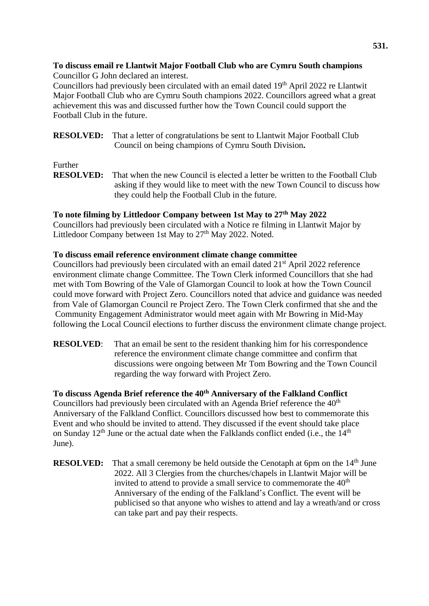### **To discuss email re Llantwit Major Football Club who are Cymru South champions** Councillor G John declared an interest.

Councillors had previously been circulated with an email dated 19th April 2022 re Llantwit Major Football Club who are Cymru South champions 2022. Councillors agreed what a great achievement this was and discussed further how the Town Council could support the Football Club in the future.

**RESOLVED:** That a letter of congratulations be sent to Llantwit Major Football Club Council on being champions of Cymru South Division**.**

# Further

**RESOLVED:** That when the new Council is elected a letter be written to the Football Club asking if they would like to meet with the new Town Council to discuss how they could help the Football Club in the future.

# **To note filming by Littledoor Company between 1st May to 27th May 2022**

Councillors had previously been circulated with a Notice re filming in Llantwit Major by Littledoor Company between 1st May to 27<sup>th</sup> May 2022. Noted.

#### **To discuss email reference environment climate change committee**

Councillors had previously been circulated with an email dated 21<sup>st</sup> April 2022 reference environment climate change Committee. The Town Clerk informed Councillors that she had met with Tom Bowring of the Vale of Glamorgan Council to look at how the Town Council could move forward with Project Zero. Councillors noted that advice and guidance was needed from Vale of Glamorgan Council re Project Zero. The Town Clerk confirmed that she and the Community Engagement Administrator would meet again with Mr Bowring in Mid-May following the Local Council elections to further discuss the environment climate change project.

**RESOLVED:** That an email be sent to the resident thanking him for his correspondence reference the environment climate change committee and confirm that discussions were ongoing between Mr Tom Bowring and the Town Council regarding the way forward with Project Zero.

**To discuss Agenda Brief reference the 40th Anniversary of the Falkland Conflict** Councillors had previously been circulated with an Agenda Brief reference the  $40<sup>th</sup>$ Anniversary of the Falkland Conflict. Councillors discussed how best to commemorate this Event and who should be invited to attend. They discussed if the event should take place on Sunday  $12<sup>th</sup>$  June or the actual date when the Falklands conflict ended (i.e., the  $14<sup>th</sup>$ June).

**RESOLVED:** That a small ceremony be held outside the Cenotaph at 6pm on the 14<sup>th</sup> June 2022. All 3 Clergies from the churches/chapels in Llantwit Major will be invited to attend to provide a small service to commemorate the  $40<sup>th</sup>$ Anniversary of the ending of the Falkland's Conflict. The event will be publicised so that anyone who wishes to attend and lay a wreath/and or cross can take part and pay their respects.